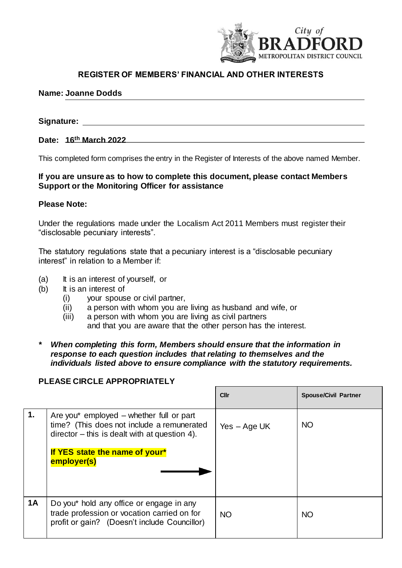

**Cllr Spouse/Civil Partner**

# **REGISTER OF MEMBERS' FINANCIAL AND OTHER INTERESTS**

### **Name: Joanne Dodds**

# **Signature:**

#### **Date: 16th March 2022**

This completed form comprises the entry in the Register of Interests of the above named Member.

## **If you are unsure as to how to complete this document, please contact Members Support or the Monitoring Officer for assistance**

#### **Please Note:**

Under the regulations made under the Localism Act 2011 Members must register their "disclosable pecuniary interests".

The statutory regulations state that a pecuniary interest is a "disclosable pecuniary interest" in relation to a Member if:

- (a) It is an interest of yourself, or
- (b) It is an interest of
	- (i) your spouse or civil partner,
	- (ii) a person with whom you are living as husband and wife, or
	- (iii) a person with whom you are living as civil partners and that you are aware that the other person has the interest.
- *\* When completing this form, Members should ensure that the information in response to each question includes that relating to themselves and the individuals listed above to ensure compliance with the statutory requirements.*

# **PLEASE CIRCLE APPROPRIATELY**

|           |                                                                                                                                            | ы              | <b>Opouse/Givil Failier</b> |
|-----------|--------------------------------------------------------------------------------------------------------------------------------------------|----------------|-----------------------------|
| 1.        | Are you* employed $-$ whether full or part<br>time? (This does not include a remunerated<br>$director - this is dealt with at question 4.$ | $Yes - Age UK$ | <b>NO</b>                   |
|           | If YES state the name of your*<br>employer(s)                                                                                              |                |                             |
| <b>1A</b> | Do you* hold any office or engage in any<br>trade profession or vocation carried on for<br>profit or gain? (Doesn't include Councillor)    | <b>NO</b>      | <b>NO</b>                   |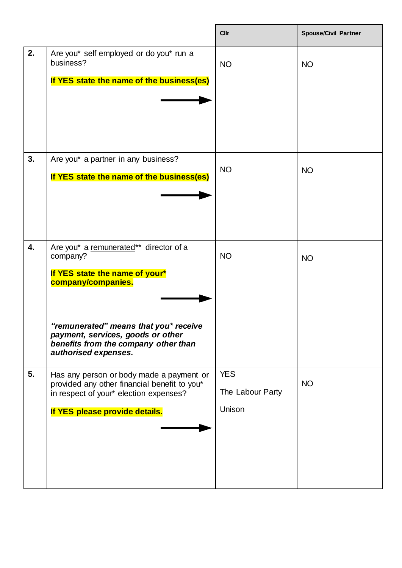|    |                                                                                                                                                                                                                                                          | <b>Cllr</b>                              | <b>Spouse/Civil Partner</b> |
|----|----------------------------------------------------------------------------------------------------------------------------------------------------------------------------------------------------------------------------------------------------------|------------------------------------------|-----------------------------|
| 2. | Are you* self employed or do you* run a<br>business?<br>If YES state the name of the business(es)                                                                                                                                                        | <b>NO</b>                                | <b>NO</b>                   |
| 3. | Are you* a partner in any business?<br>If YES state the name of the business(es)                                                                                                                                                                         | <b>NO</b>                                | <b>NO</b>                   |
| 4. | Are you* a remunerated** director of a<br>company?<br>If YES state the name of your*<br>company/companies.<br>"remunerated" means that you* receive<br>payment, services, goods or other<br>benefits from the company other than<br>authorised expenses. | <b>NO</b>                                | <b>NO</b>                   |
| 5. | Has any person or body made a payment or<br>provided any other financial benefit to you*<br>in respect of your* election expenses?<br>If YES please provide details.                                                                                     | <b>YES</b><br>The Labour Party<br>Unison | <b>NO</b>                   |

 $\overline{\phantom{a}}$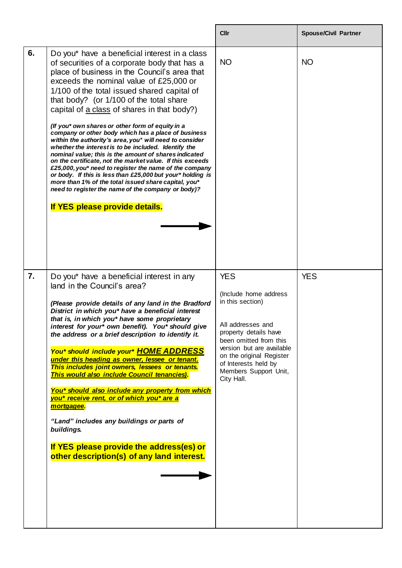|    |                                                                                                                                                                                                                                                                                                                                                                                                                                                                                                                                                                                                                                                                                                                                                                                                                                                                                                                                                               | <b>Cllr</b>                                                                                                                                                                                                                                             | <b>Spouse/Civil Partner</b> |
|----|---------------------------------------------------------------------------------------------------------------------------------------------------------------------------------------------------------------------------------------------------------------------------------------------------------------------------------------------------------------------------------------------------------------------------------------------------------------------------------------------------------------------------------------------------------------------------------------------------------------------------------------------------------------------------------------------------------------------------------------------------------------------------------------------------------------------------------------------------------------------------------------------------------------------------------------------------------------|---------------------------------------------------------------------------------------------------------------------------------------------------------------------------------------------------------------------------------------------------------|-----------------------------|
| 6. | Do you* have a beneficial interest in a class<br>of securities of a corporate body that has a<br>place of business in the Council's area that<br>exceeds the nominal value of £25,000 or<br>1/100 of the total issued shared capital of<br>that body? (or 1/100 of the total share<br>capital of a class of shares in that body?)<br>(If you* own shares or other form of equity in a<br>company or other body which has a place of business<br>within the authority's area, you* will need to consider<br>whether the interest is to be included. Identify the<br>nominal value; this is the amount of shares indicated<br>on the certificate, not the market value. If this exceeds<br>£25,000, you* need to register the name of the company<br>or body. If this is less than £25,000 but your* holding is<br>more than 1% of the total issued share capital, you*<br>need to register the name of the company or body)?<br>If YES please provide details. | <b>NO</b>                                                                                                                                                                                                                                               | <b>NO</b>                   |
| 7. | Do you* have a beneficial interest in any<br>land in the Council's area?<br>(Please provide details of any land in the Bradford<br>District in which you* have a beneficial interest<br>that is, in which you* have some proprietary<br>interest for your* own benefit). You* should give<br>the address or a brief description to identify it.<br>You* should include your* HOME ADDRESS<br>under this heading as owner, lessee or tenant.<br>This includes joint owners, lessees or tenants.<br>This would also include Council tenancies).<br>You* should also include any property from which<br>you* receive rent, or of which you* are a<br>mortgagee.<br>"Land" includes any buildings or parts of<br>buildings.<br>If YES please provide the address(es) or<br>other description(s) of any land interest.                                                                                                                                             | <b>YES</b><br>(Include home address<br>in this section)<br>All addresses and<br>property details have<br>been omitted from this<br>version but are available<br>on the original Register<br>of Interests held by<br>Members Support Unit,<br>City Hall. | <b>YES</b>                  |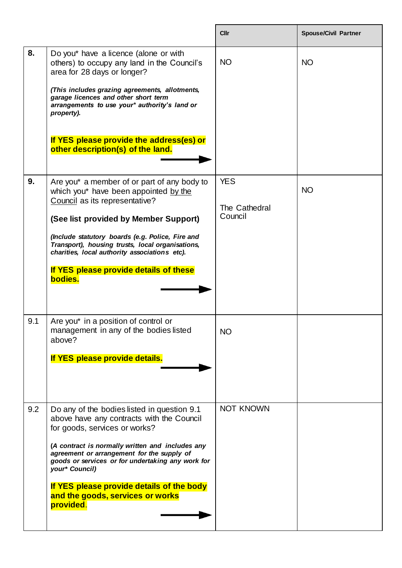|     |                                                                                                                                                                                                                                                                                                                                                                                                  | <b>Cllr</b>                            | <b>Spouse/Civil Partner</b> |
|-----|--------------------------------------------------------------------------------------------------------------------------------------------------------------------------------------------------------------------------------------------------------------------------------------------------------------------------------------------------------------------------------------------------|----------------------------------------|-----------------------------|
| 8.  | Do you* have a licence (alone or with<br>others) to occupy any land in the Council's<br>area for 28 days or longer?<br>(This includes grazing agreements, allotments,<br>garage licences and other short term<br>arrangements to use your* authority's land or<br>property).<br>If YES please provide the address(es) or<br>other description(s) of the land.                                    | <b>NO</b>                              | <b>NO</b>                   |
| 9.  | Are you* a member of or part of any body to<br>which you* have been appointed by the<br>Council as its representative?<br>(See list provided by Member Support)<br>(Include statutory boards (e.g. Police, Fire and<br>Transport), housing trusts, local organisations,<br>charities, local authority associations etc).<br>If YES please provide details of these<br>bodies.                    | <b>YES</b><br>The Cathedral<br>Council | <b>NO</b>                   |
| 9.1 | Are you* in a position of control or<br>management in any of the bodies listed<br>above?<br>If YES please provide details.                                                                                                                                                                                                                                                                       | ΝO                                     |                             |
| 9.2 | Do any of the bodies listed in question 9.1<br>above have any contracts with the Council<br>for goods, services or works?<br>(A contract is normally written and includes any<br>agreement or arrangement for the supply of<br>goods or services or for undertaking any work for<br>your* Council)<br>If YES please provide details of the body<br>and the goods, services or works<br>provided. | <b>NOT KNOWN</b>                       |                             |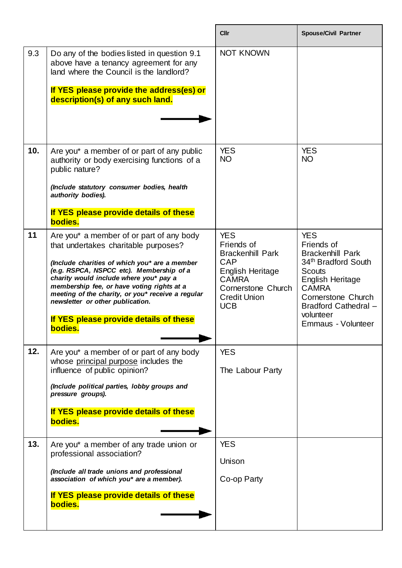|     |                                                                                                                                                                                                                                                                                                                                                                                                                     | <b>Cllr</b>                                                                                                                                                      | <b>Spouse/Civil Partner</b>                                                                                                                                                                                      |
|-----|---------------------------------------------------------------------------------------------------------------------------------------------------------------------------------------------------------------------------------------------------------------------------------------------------------------------------------------------------------------------------------------------------------------------|------------------------------------------------------------------------------------------------------------------------------------------------------------------|------------------------------------------------------------------------------------------------------------------------------------------------------------------------------------------------------------------|
| 9.3 | Do any of the bodies listed in question 9.1<br>above have a tenancy agreement for any<br>land where the Council is the landlord?<br>If YES please provide the address(es) or<br>description(s) of any such land.                                                                                                                                                                                                    | <b>NOT KNOWN</b>                                                                                                                                                 |                                                                                                                                                                                                                  |
| 10. | Are you* a member of or part of any public<br>authority or body exercising functions of a<br>public nature?<br>(Include statutory consumer bodies, health<br>authority bodies).<br>If YES please provide details of these<br>bodies.                                                                                                                                                                                | <b>YES</b><br><b>NO</b>                                                                                                                                          | <b>YES</b><br><b>NO</b>                                                                                                                                                                                          |
| 11  | Are you* a member of or part of any body<br>that undertakes charitable purposes?<br>(Include charities of which you* are a member<br>(e.g. RSPCA, NSPCC etc). Membership of a<br>charity would include where you* pay a<br>membership fee, or have voting rights at a<br>meeting of the charity, or you* receive a regular<br>newsletter or other publication.<br>If YES please provide details of these<br>bodies. | <b>YES</b><br>Friends of<br><b>Brackenhill Park</b><br>CAP<br><b>English Heritage</b><br><b>CAMRA</b><br>Cornerstone Church<br><b>Credit Union</b><br><b>UCB</b> | <b>YES</b><br>Friends of<br><b>Brackenhill Park</b><br>34th Bradford South<br><b>Scouts</b><br>English Heritage<br><b>CAMRA</b><br>Cornerstone Church<br>Bradford Cathedral -<br>volunteer<br>Emmaus - Volunteer |
| 12. | Are you* a member of or part of any body<br>whose principal purpose includes the<br>influence of public opinion?<br>(Include political parties, lobby groups and<br>pressure groups).<br>If YES please provide details of these<br>bodies.                                                                                                                                                                          | <b>YES</b><br>The Labour Party                                                                                                                                   |                                                                                                                                                                                                                  |
| 13. | Are you* a member of any trade union or<br>professional association?<br>(Include all trade unions and professional<br>association of which you* are a member).<br>If YES please provide details of these<br>bodies.                                                                                                                                                                                                 | <b>YES</b><br>Unison<br>Co-op Party                                                                                                                              |                                                                                                                                                                                                                  |